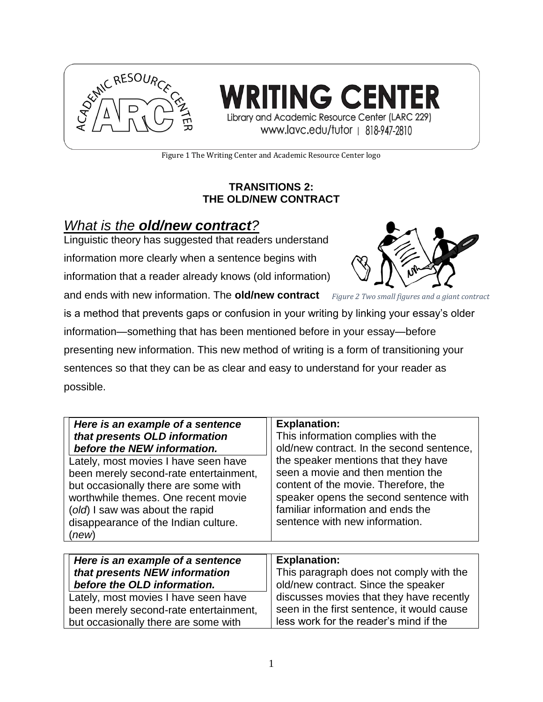

ING CENI Library and Academic Resource Center (LARC 229) www.lavc.edu/tutor | 818-947-2810

Figure 1 The Writing Center and Academic Resource Center logo

#### **TRANSITIONS 2: THE OLD/NEW CONTRACT**

# *What is the old/new contract?*

Linguistic theory has suggested that readers understand information more clearly when a sentence begins with

information that a reader already knows (old information)

and ends with new information. The **old/new contract** *Figure 2 Two small figures and a giant contract*



is a method that prevents gaps or confusion in your writing by linking your essay's older information—something that has been mentioned before in your essay—before presenting new information. This new method of writing is a form of transitioning your sentences so that they can be as clear and easy to understand for your reader as possible.

| Here is an example of a sentence       | <b>Explanation:</b>                       |
|----------------------------------------|-------------------------------------------|
| that presents OLD information          | This information complies with the        |
| before the NEW information.            | old/new contract. In the second sentence, |
| Lately, most movies I have seen have   | the speaker mentions that they have       |
| been merely second-rate entertainment, | seen a movie and then mention the         |
| but occasionally there are some with   | content of the movie. Therefore, the      |
| worthwhile themes. One recent movie    | speaker opens the second sentence with    |
| (old) I saw was about the rapid        | familiar information and ends the         |
| disappearance of the Indian culture.   | sentence with new information.            |
| (new)                                  |                                           |
|                                        |                                           |

| Here is an example of a sentence       | <b>Explanation:</b>                        |
|----------------------------------------|--------------------------------------------|
| that presents NEW information          | This paragraph does not comply with the    |
| before the OLD information.            | old/new contract. Since the speaker        |
| Lately, most movies I have seen have   | discusses movies that they have recently   |
| been merely second-rate entertainment, | seen in the first sentence, it would cause |
| but occasionally there are some with   | less work for the reader's mind if the     |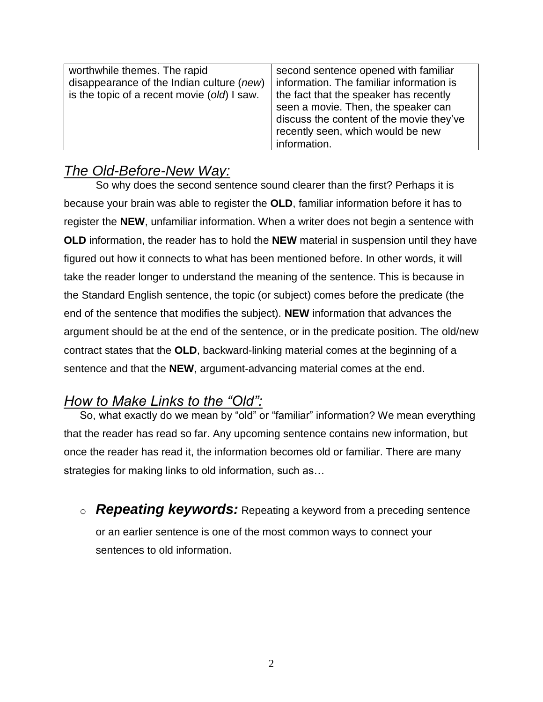| second sentence opened with familiar     |
|------------------------------------------|
| information. The familiar information is |
| the fact that the speaker has recently   |
| seen a movie. Then, the speaker can      |
| discuss the content of the movie they've |
| recently seen, which would be new        |
| information.                             |
|                                          |

## *The Old-Before-New Way:*

So why does the second sentence sound clearer than the first? Perhaps it is because your brain was able to register the **OLD**, familiar information before it has to register the **NEW**, unfamiliar information. When a writer does not begin a sentence with **OLD** information, the reader has to hold the **NEW** material in suspension until they have figured out how it connects to what has been mentioned before. In other words, it will take the reader longer to understand the meaning of the sentence. This is because in the Standard English sentence, the topic (or subject) comes before the predicate (the end of the sentence that modifies the subject). **NEW** information that advances the argument should be at the end of the sentence, or in the predicate position. The old/new contract states that the **OLD**, backward-linking material comes at the beginning of a sentence and that the **NEW**, argument-advancing material comes at the end.

## *How to Make Links to the "Old":*

So, what exactly do we mean by "old" or "familiar" information? We mean everything that the reader has read so far. Any upcoming sentence contains new information, but once the reader has read it, the information becomes old or familiar. There are many strategies for making links to old information, such as…

o *Repeating keywords:* Repeating a keyword from a preceding sentence or an earlier sentence is one of the most common ways to connect your sentences to old information.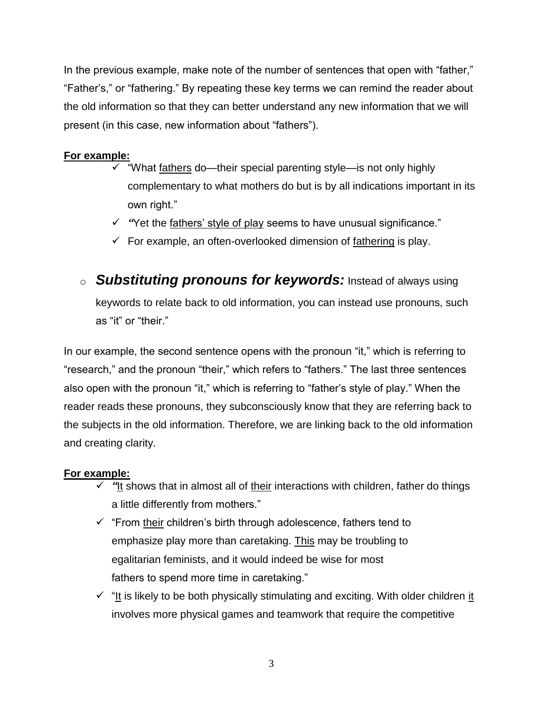In the previous example, make note of the number of sentences that open with "father," "Father's," or "fathering." By repeating these key terms we can remind the reader about the old information so that they can better understand any new information that we will present (in this case, new information about "fathers").

#### **For example:**

- $\checkmark$  "What fathers do—their special parenting style—is not only highly complementary to what mothers do but is by all indications important in its own right."
- *"*Yet the fathers' style of play seems to have unusual significance."
- $\checkmark$  For example, an often-overlooked dimension of fathering is play.
- o *Substituting pronouns for keywords:* Instead of always using keywords to relate back to old information, you can instead use pronouns, such as "it" or "their."

In our example, the second sentence opens with the pronoun "it," which is referring to "research," and the pronoun "their," which refers to "fathers." The last three sentences also open with the pronoun "it," which is referring to "father's style of play." When the reader reads these pronouns, they subconsciously know that they are referring back to the subjects in the old information. Therefore, we are linking back to the old information and creating clarity.

## **For example:**

- **√** "It shows that in almost all of their interactions with children, father do things a little differently from mothers."
- $\checkmark$  "From their children's birth through adolescence, fathers tend to emphasize play more than caretaking. This may be troubling to egalitarian feminists, and it would indeed be wise for most fathers to spend more time in caretaking."
- $\checkmark$  "It is likely to be both physically stimulating and exciting. With older children it involves more physical games and teamwork that require the competitive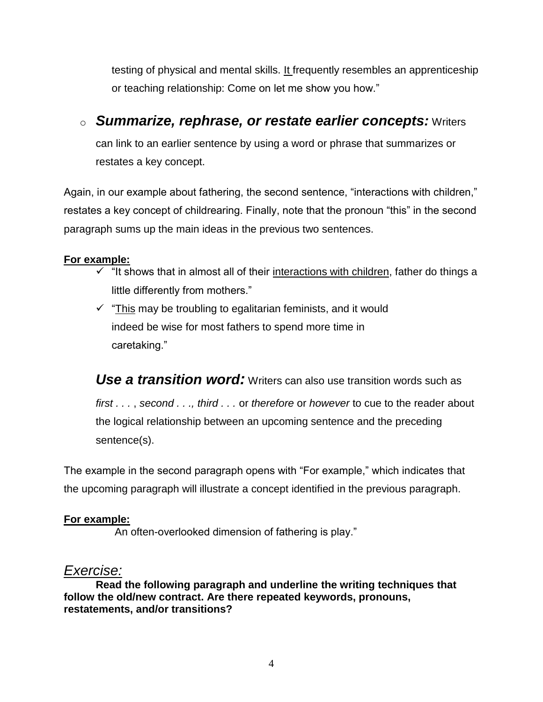testing of physical and mental skills. It frequently resembles an apprenticeship or teaching relationship: Come on let me show you how."

## o *Summarize, rephrase, or restate earlier concepts:* Writers

can link to an earlier sentence by using a word or phrase that summarizes or restates a key concept.

Again, in our example about fathering, the second sentence, "interactions with children," restates a key concept of childrearing. Finally, note that the pronoun "this" in the second paragraph sums up the main ideas in the previous two sentences.

## **For example:**

- $\checkmark$  "It shows that in almost all of their interactions with children, father do things a little differently from mothers."
- $\checkmark$  "This may be troubling to egalitarian feminists, and it would indeed be wise for most fathers to spend more time in caretaking."

**Use a transition word**: Writers can also use transition words such as *first . . .* , *second . . ., third . . .* or *therefore* or *however* to cue to the reader about the logical relationship between an upcoming sentence and the preceding sentence(s).

The example in the second paragraph opens with "For example," which indicates that the upcoming paragraph will illustrate a concept identified in the previous paragraph.

## **For example:**

An often-overlooked dimension of fathering is play."

## *Exercise:*

**Read the following paragraph and underline the writing techniques that follow the old/new contract. Are there repeated keywords, pronouns, restatements, and/or transitions?**